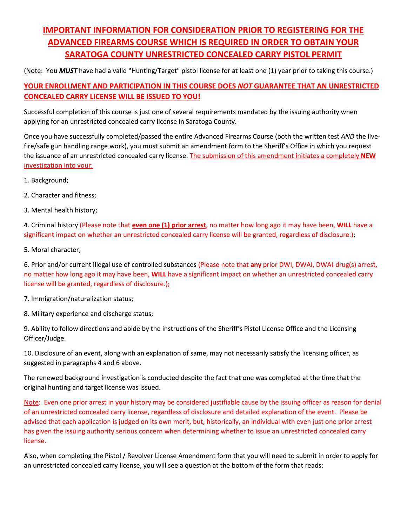## **IMPORTANT INFORMATION FOR CONSIDERATION PRIOR TO REGISTERING FOR THE ADVANCED FIREARMS COURSE WHICH IS REQUIRED IN ORDER TO OBTAIN YOUR** SARATOGA COUNTY UNRESTRICTED CONCEALED CARRY PISTOL PERMIT

(Note: You MUST have had a valid "Hunting/Target" pistol license for at least one (1) year prior to taking this course.)

## YOUR ENROLLMENT AND PARTICIPATION IN THIS COURSE DOES NOT GUARANTEE THAT AN UNRESTRICTED **CONCEALED CARRY LICENSE WILL BE ISSUED TO YOU!**

Successful completion of this course is just one of several requirements mandated by the issuing authority when applying for an unrestricted concealed carry license in Saratoga County.

Once you have successfully completed/passed the entire Advanced Firearms Course (both the written test AND the livefire/safe gun handling range work), you must submit an amendment form to the Sheriff's Office in which you request the issuance of an unrestricted concealed carry license. The submission of this amendment initiates a completely NEW investigation into your:

- 1. Background;
- 2. Character and fitness;
- 3. Mental health history;

4. Criminal history (Please note that even one (1) prior arrest, no matter how long ago it may have been, WILL have a significant impact on whether an unrestricted concealed carry license will be granted, regardless of disclosure.);

5. Moral character;

6. Prior and/or current illegal use of controlled substances (Please note that any prior DWI, DWAI, DWAI-drug(s) arrest, no matter how long ago it may have been, WILL have a significant impact on whether an unrestricted concealed carry license will be granted, regardless of disclosure.);

7. Immigration/naturalization status;

8. Military experience and discharge status;

9. Ability to follow directions and abide by the instructions of the Sheriff's Pistol License Office and the Licensing Officer/Judge.

10. Disclosure of an event, along with an explanation of same, may not necessarily satisfy the licensing officer, as suggested in paragraphs 4 and 6 above.

The renewed background investigation is conducted despite the fact that one was completed at the time that the original hunting and target license was issued.

Note: Even one prior arrest in your history may be considered justifiable cause by the issuing officer as reason for denial of an unrestricted concealed carry license, regardless of disclosure and detailed explanation of the event. Please be advised that each application is judged on its own merit, but, historically, an individual with even just one prior arrest has given the issuing authority serious concern when determining whether to issue an unrestricted concealed carry license.

Also, when completing the Pistol / Revolver License Amendment form that you will need to submit in order to apply for an unrestricted concealed carry license, you will see a question at the bottom of the form that reads: